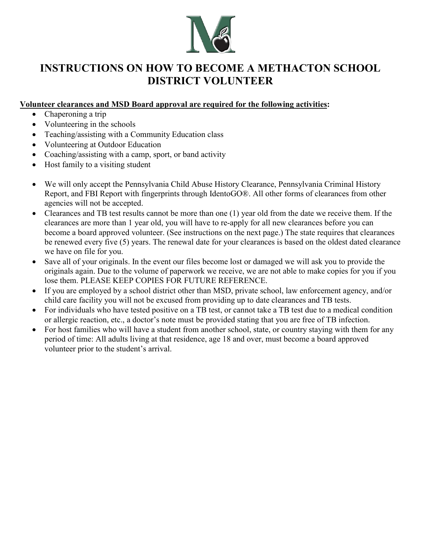

# **INSTRUCTIONS ON HOW TO BECOME A METHACTON SCHOOL DISTRICT VOLUNTEER**

#### **Volunteer clearances and MSD Board approval are required for the following activities:**

- Chaperoning a trip
- Volunteering in the schools
- Teaching/assisting with a Community Education class
- Volunteering at Outdoor Education
- Coaching/assisting with a camp, sport, or band activity
- Host family to a visiting student
- We will only accept the Pennsylvania Child Abuse History Clearance, Pennsylvania Criminal History Report, and FBI Report with fingerprints through IdentoGO®. All other forms of clearances from other agencies will not be accepted.
- Clearances and TB test results cannot be more than one (1) year old from the date we receive them. If the clearances are more than 1 year old, you will have to re-apply for all new clearances before you can become a board approved volunteer. (See instructions on the next page.) The state requires that clearances be renewed every five (5) years. The renewal date for your clearances is based on the oldest dated clearance we have on file for you.
- Save all of your originals. In the event our files become lost or damaged we will ask you to provide the originals again. Due to the volume of paperwork we receive, we are not able to make copies for you if you lose them. PLEASE KEEP COPIES FOR FUTURE REFERENCE.
- If you are employed by a school district other than MSD, private school, law enforcement agency, and/or child care facility you will not be excused from providing up to date clearances and TB tests.
- For individuals who have tested positive on a TB test, or cannot take a TB test due to a medical condition or allergic reaction, etc., a doctor's note must be provided stating that you are free of TB infection.
- For host families who will have a student from another school, state, or country staying with them for any period of time: All adults living at that residence, age 18 and over, must become a board approved volunteer prior to the student's arrival.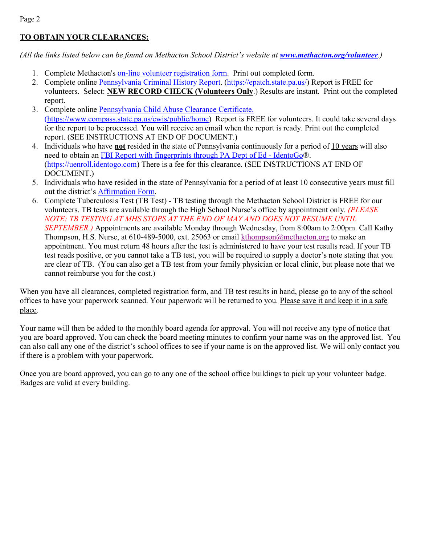# **TO OBTAIN YOUR CLEARANCES:**

*(All the links listed below can be found on Methacton School District's website at <i>[www.methacton.org/volunteer](http://www.methacton.org/volunteer)*.)

- 1. Complete Methacton's [on-line volunteer registration form.](https://www.methacton.org/cms/module/selectsurvey/TakeSurvey.aspx?SurveyID=106) Print out completed form.
- 2. Complete online [Pennsylvania Criminal History Report.](https://epatch.state.pa.us/Home.jsp) [\(https://epatch.state.pa.us/\)](https://epatch.state.pa.us/) Report is FREE for volunteers. Select: **NEW RECORD CHECK (Volunteers Only**.) Results are instant. Print out the completed report.
- 3. Complete online [Pennsylvania Child Abuse Clearance Certificate.](https://www.compass.state.pa.us/cwis/public/home)  [\(https://www.compass.state.pa.us/cwis/public/home\)](https://www.compass.state.pa.us/cwis/public/home) Report is FREE for volunteers. It could take several days for the report to be processed. You will receive an email when the report is ready. Print out the completed report. (SEE INSTRUCTIONS AT END OF DOCUMENT.)
- 4. Individuals who have **not** resided in the state of Pennsylvania continuously for a period of 10 years will also need to obtain an [FBI Report with fingerprints through PA Dept of Ed -](https://uenroll.identogo.com/) IdentoGo®. [\(https://uenroll.identogo.com\)](https://uenroll.identogo.com/) There is a fee for this clearance. (SEE INSTRUCTIONS AT END OF DOCUMENT.)
- 5. Individuals who have resided in the state of Pennsylvania for a period of at least 10 consecutive years must fill out the district's [Affirmation Form.](https://pa50000637.schoolwires.net/cms/lib/PA50000637/Centricity/Domain/62/Methacton_Volunteer_Affirmation_Form.pdf)
- 6. Complete Tuberculosis Test (TB Test) TB testing through the Methacton School District is FREE for our volunteers. TB tests are available through the High School Nurse's office by appointment only. *(PLEASE NOTE: TB TESTING AT MHS STOPS AT THE END OF MAY AND DOES NOT RESUME UNTIL SEPTEMBER.*) Appointments are available Monday through Wednesday, from 8:00am to 2:00pm. Call Kathy Thompson, H.S. Nurse, at 610-489-5000, ext. 25063 or email [kthompson@methacton.org](mailto:kthompson@methacton.org) to make an appointment. You must return 48 hours after the test is administered to have your test results read. If your TB test reads positive, or you cannot take a TB test, you will be required to supply a doctor's note stating that you are clear of TB. (You can also get a TB test from your family physician or local clinic, but please note that we cannot reimburse you for the cost.)

When you have all clearances, completed registration form, and TB test results in hand, please go to any of the school offices to have your paperwork scanned. Your paperwork will be returned to you. Please save it and keep it in a safe place.

Your name will then be added to the monthly board agenda for approval. You will not receive any type of notice that you are board approved. You can check the board meeting minutes to confirm your name was on the approved list. You can also call any one of the district's school offices to see if your name is on the approved list. We will only contact you if there is a problem with your paperwork.

Once you are board approved, you can go to any one of the school office buildings to pick up your volunteer badge. Badges are valid at every building.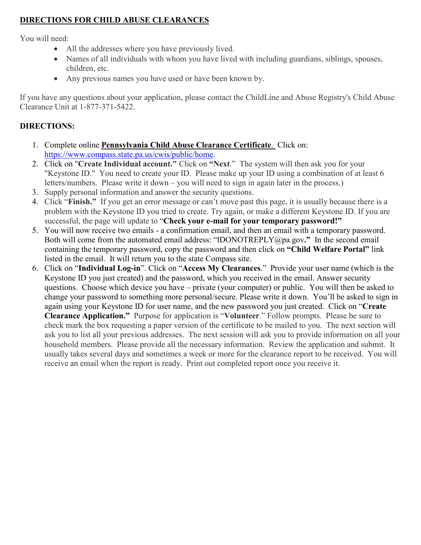# **DIRECTIONS FOR CHILD ABUSE CLEARANCES**

You will need:

- All the addresses where you have previously lived.
- Names of all individuals with whom you have lived with including guardians, siblings, spouses, children, etc.
- Any previous names you have used or have been known by.

If you have any questions about your application, please contact the ChildLine and Abuse Registry's Child Abuse Clearance Unit at 1-877-371-5422.

## **DIRECTIONS:**

- 1. Complete online **Pennsylvania Child Abuse Clearance Certificate**. Click on: [https://www.compass.state.pa.us/cwis/public/home.](https://www.compass.state.pa.us/cwis/public/home)
- 2. Click on "**Create Individual account."** Click on **"Next**." The system will then ask you for your "Keystone ID." You need to create your ID. Please make up your ID using a combination of at least 6 letters/numbers. Please write it down – you will need to sign in again later in the process.)
- 3. Supply personal information and answer the security questions.
- 4. Click "**Finish."** If you get an error message or can't move past this page, it is usually because there is a problem with the Keystone ID you tried to create. Try again, or make a different Keystone ID. If you are successful, the page will update to "**Check your e-mail for your temporary password!"**
- 5. You will now receive two emails a confirmation email, and then an email with a temporary password. Both will come from the automated email address: "lDONOTREPLY@pa.gov**."** In the second email containing the temporary password, copy the password and then click on **"Child Welfare Portal"** link listed in the email. It will return you to the state Compass site.
- 6. Click on "**Individual Log-in**". Click on "**Access My Clearances**." Provide your user name (which is the Keystone ID you just created) and the password, which you received in the email. Answer security questions. Choose which device you have – private (your computer) or public. You will then be asked to change your password to something more personal/secure. Please write it down. You'll be asked to sign in again using your Keystone ID for user name, and the new password you just created. Click on "**Create Clearance Application."** Purpose for application is "**Volunteer**." Follow prompts. Please be sure to check mark the box requesting a paper version of the certificate to be mailed to you. The next section will ask you to list all your previous addresses. The next session will ask you to provide information on all your household members. Please provide all the necessary information. Review the application and submit. It usually takes several days and sometimes a week or more for the clearance report to be received. You will receive an email when the report is ready. Print out completed report once you receive it.